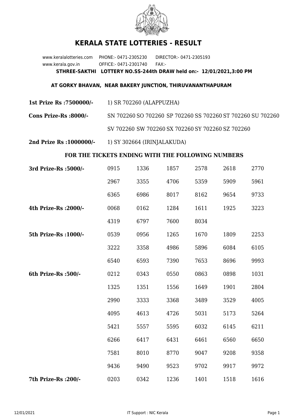

## **KERALA STATE LOTTERIES - RESULT**

www.keralalotteries.com PHONE:- 0471-2305230 DIRECTOR:- 0471-2305193 www.kerala.gov.in OFFICE:- 0471-2301740 FAX:- **STHREE-SAKTHI LOTTERY NO.SS-244th DRAW held on:- 12/01/2021,3:00 PM**

## **AT GORKY BHAVAN, NEAR BAKERY JUNCTION, THIRUVANANTHAPURAM**

**1st Prize Rs :7500000/-** 1) SR 702260 (ALAPPUZHA)

**Cons Prize-Rs :8000/-** SN 702260 SO 702260 SP 702260 SS 702260 ST 702260 SU 702260 SV 702260 SW 702260 SX 702260 SY 702260 SZ 702260

**2nd Prize Rs :1000000/-** 1) SY 302664 (IRINJALAKUDA)

## **FOR THE TICKETS ENDING WITH THE FOLLOWING NUMBERS**

| 3rd Prize-Rs : 5000/- | 0915 | 1336 | 1857 | 2578 | 2618 | 2770 |
|-----------------------|------|------|------|------|------|------|
|                       | 2967 | 3355 | 4706 | 5359 | 5909 | 5961 |
|                       | 6365 | 6986 | 8017 | 8162 | 9654 | 9733 |
| 4th Prize-Rs : 2000/- | 0068 | 0162 | 1284 | 1611 | 1925 | 3223 |
|                       | 4319 | 6797 | 7600 | 8034 |      |      |
| 5th Prize-Rs : 1000/- | 0539 | 0956 | 1265 | 1670 | 1809 | 2253 |
|                       | 3222 | 3358 | 4986 | 5896 | 6084 | 6105 |
|                       | 6540 | 6593 | 7390 | 7653 | 8696 | 9993 |
| 6th Prize-Rs :500/-   | 0212 | 0343 | 0550 | 0863 | 0898 | 1031 |
|                       | 1325 | 1351 | 1556 | 1649 | 1901 | 2804 |
|                       | 2990 | 3333 | 3368 | 3489 | 3529 | 4005 |
|                       | 4095 | 4613 | 4726 | 5031 | 5173 | 5264 |
|                       | 5421 | 5557 | 5595 | 6032 | 6145 | 6211 |
|                       | 6266 | 6417 | 6431 | 6461 | 6560 | 6650 |
|                       | 7581 | 8010 | 8770 | 9047 | 9208 | 9358 |
|                       | 9436 | 9490 | 9523 | 9702 | 9917 | 9972 |
| 7th Prize-Rs : 200/-  | 0203 | 0342 | 1236 | 1401 | 1518 | 1616 |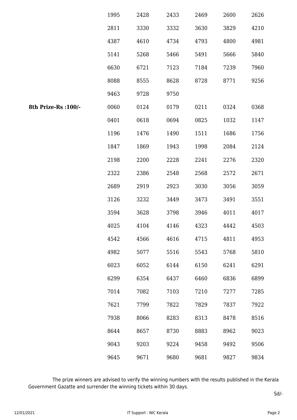|                      | 1995 | 2428 | 2433 | 2469 | 2600 | 2626 |
|----------------------|------|------|------|------|------|------|
|                      | 2811 | 3330 | 3332 | 3630 | 3829 | 4210 |
|                      | 4387 | 4610 | 4734 | 4793 | 4800 | 4981 |
|                      | 5141 | 5268 | 5466 | 5491 | 5666 | 5840 |
|                      | 6630 | 6721 | 7123 | 7184 | 7239 | 7960 |
|                      | 8088 | 8555 | 8628 | 8728 | 8771 | 9256 |
|                      | 9463 | 9728 | 9750 |      |      |      |
| 8th Prize-Rs : 100/- | 0060 | 0124 | 0179 | 0211 | 0324 | 0368 |
|                      | 0401 | 0618 | 0694 | 0825 | 1032 | 1147 |
|                      | 1196 | 1476 | 1490 | 1511 | 1686 | 1756 |
|                      | 1847 | 1869 | 1943 | 1998 | 2084 | 2124 |
|                      | 2198 | 2200 | 2228 | 2241 | 2276 | 2320 |
|                      | 2322 | 2386 | 2548 | 2568 | 2572 | 2671 |
|                      | 2689 | 2919 | 2923 | 3030 | 3056 | 3059 |
|                      | 3126 | 3232 | 3449 | 3473 | 3491 | 3551 |
|                      | 3594 | 3628 | 3798 | 3946 | 4011 | 4017 |
|                      | 4025 | 4104 | 4146 | 4323 | 4442 | 4503 |
|                      | 4542 | 4566 | 4616 | 4715 | 4811 | 4953 |
|                      | 4982 | 5077 | 5516 | 5543 | 5768 | 5810 |
|                      | 6023 | 6052 | 6144 | 6150 | 6241 | 6291 |
|                      | 6299 | 6354 | 6437 | 6460 | 6836 | 6899 |
|                      | 7014 | 7082 | 7103 | 7210 | 7277 | 7285 |
|                      | 7621 | 7799 | 7822 | 7829 | 7837 | 7922 |
|                      | 7938 | 8066 | 8283 | 8313 | 8478 | 8516 |
|                      | 8644 | 8657 | 8730 | 8883 | 8962 | 9023 |
|                      | 9043 | 9203 | 9224 | 9458 | 9492 | 9506 |
|                      | 9645 | 9671 | 9680 | 9681 | 9827 | 9834 |

 The prize winners are advised to verify the winning numbers with the results published in the Kerala Government Gazatte and surrender the winning tickets within 30 days.